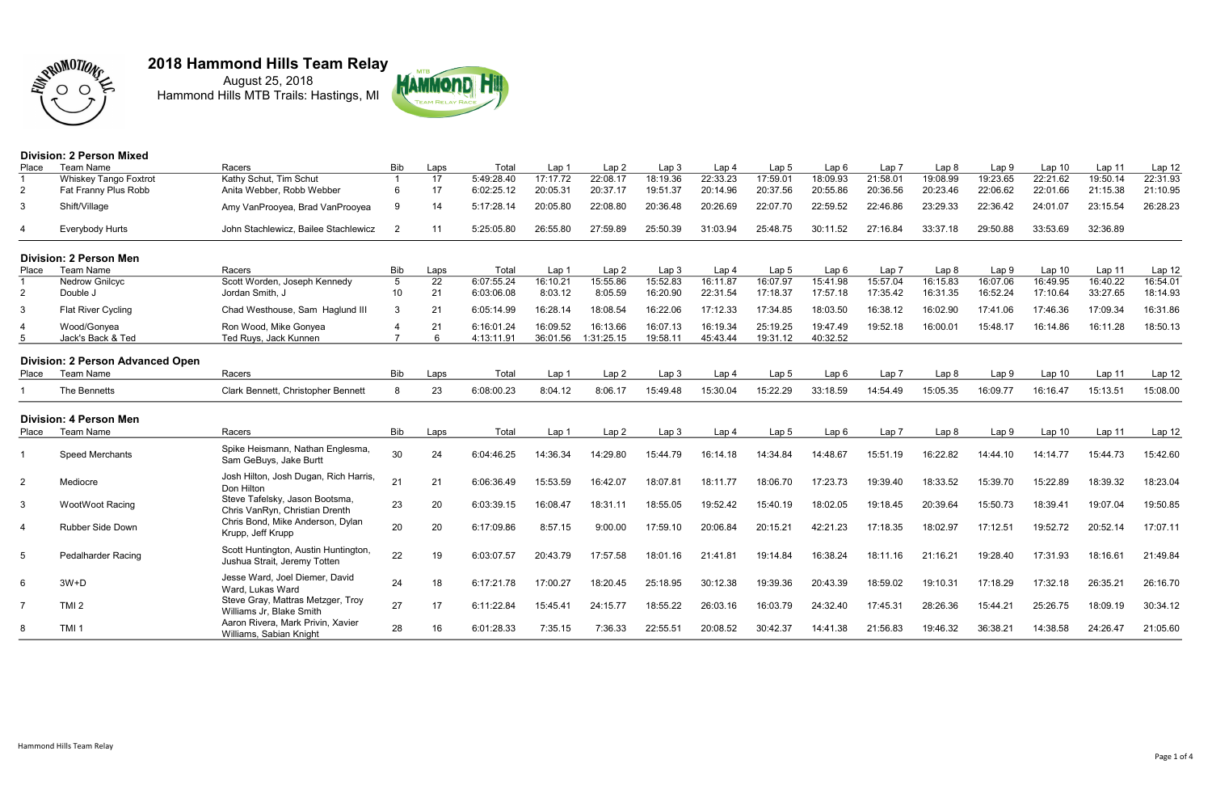

August 25, 2018 Hammond Hills MTB Trails: Hastings, MI



### Division: 2 Person Mixed

| Place          | <b>Team Name</b>                        | Racers                                                           | <b>Bib</b>      | Laps | Total      | Lap 1            | Lap <sub>2</sub> | Lap <sub>3</sub> | Lap <sub>4</sub> | Lap <sub>5</sub> | Lap <sub>6</sub> | Lap <sub>7</sub> | Lap <sub>8</sub> | Lap9             | Lap <sub>10</sub> | Lap 11   | Lap 12   |
|----------------|-----------------------------------------|------------------------------------------------------------------|-----------------|------|------------|------------------|------------------|------------------|------------------|------------------|------------------|------------------|------------------|------------------|-------------------|----------|----------|
|                | <b>Whiskey Tango Foxtrot</b>            | Kathy Schut, Tim Schut                                           |                 | 17   | 5:49:28.40 | 17:17.72         | 22:08.17         | 18:19.36         | 22:33.23         | 17:59.01         | 18:09.93         | 21:58.01         | 19:08.99         | 19:23.65         | 22:21.62          | 19:50.14 | 22:31.93 |
| 2              | Fat Franny Plus Robb                    | Anita Webber, Robb Webber                                        | 6               | 17   | 6:02:25.12 | 20:05.31         | 20:37.17         | 19:51.37         | 20:14.96         | 20:37.56         | 20:55.86         | 20:36.56         | 20:23.46         | 22:06.62         | 22:01.66          | 21:15.38 | 21:10.95 |
| 3              | Shift/Village                           | Amy VanProoyea, Brad VanProoyea                                  | 9               | 14   | 5:17:28.14 | 20:05.80         | 22:08.80         | 20:36.48         | 20:26.69         | 22:07.70         | 22:59.52         | 22:46.86         | 23:29.33         | 22:36.42         | 24:01.07          | 23:15.54 | 26:28.23 |
| $\overline{4}$ | Everybody Hurts                         | John Stachlewicz, Bailee Stachlewicz                             | $\mathcal{P}$   | 11   | 5:25:05.80 | 26:55.80         | 27:59.89         | 25:50.39         | 31:03.94         | 25:48.75         | 30:11.52         | 27:16.84         | 33:37.18         | 29:50.88         | 33:53.69          | 32:36.89 |          |
|                | <b>Division: 2 Person Men</b>           |                                                                  |                 |      |            |                  |                  |                  |                  |                  |                  |                  |                  |                  |                   |          |          |
| Place          | <b>Team Name</b>                        | Racers                                                           | <b>Bib</b>      | Laps | Total      | Lap 1            | Lap <sub>2</sub> | Lap <sub>3</sub> | Lap <sub>4</sub> | Lap <sub>5</sub> | Lap <sub>6</sub> | Lap <sub>7</sub> | Lap <sub>8</sub> | Lap <sub>9</sub> | Lap <sub>10</sub> | Lap 11   | Lap 12   |
|                | <b>Nedrow Gnilcyc</b>                   | Scott Worden, Joseph Kennedy                                     | $5\phantom{.0}$ | 22   | 6:07:55.24 | 16:10.21         | 15:55.86         | 15:52.83         | 16:11.87         | 16:07.97         | 15:41.98         | 15:57.04         | 16:15.83         | 16:07.06         | 16:49.95          | 16:40.22 | 16:54.01 |
| 2              | Double J                                | Jordan Smith, J                                                  | 10 <sup>°</sup> | 21   | 6:03:06.08 | 8:03.12          | 8:05.59          | 16:20.90         | 22:31.54         | 17:18.37         | 17:57.18         | 17:35.42         | 16:31.35         | 16:52.24         | 17:10.64          | 33:27.65 | 18:14.93 |
| 3              | Flat River Cycling                      | Chad Westhouse, Sam Haglund III                                  | 3               | 21   | 6:05:14.99 | 16:28.14         | 18:08.54         | 16:22.06         | 17:12.33         | 17:34.85         | 18:03.50         | 16:38.12         | 16:02.90         | 17:41.06         | 17:46.36          | 17:09.34 | 16:31.86 |
|                | Wood/Gonyea                             | Ron Wood, Mike Gonyea                                            | $\overline{4}$  | 21   | 6:16:01.24 | 16:09.52         | 16:13.66         | 16:07.13         | 16:19.34         | 25:19.25         | 19:47.49         | 19:52.18         | 16:00.01         | 15:48.17         | 16:14.86          | 16:11.28 | 18:50.13 |
|                | Jack's Back & Ted                       | Ted Ruys, Jack Kunnen                                            |                 | 6    | 4:13:11.91 | 36:01.56         | 1:31:25.15       | 19:58.11         | 45:43.44         | 19:31.12         | 40:32.52         |                  |                  |                  |                   |          |          |
|                |                                         |                                                                  |                 |      |            |                  |                  |                  |                  |                  |                  |                  |                  |                  |                   |          |          |
|                | <b>Division: 2 Person Advanced Open</b> |                                                                  |                 |      |            |                  |                  |                  |                  |                  |                  |                  |                  |                  |                   |          |          |
| Place          | <b>Team Name</b>                        | Racers                                                           | <b>Bib</b>      | Laps | Total      | Lap <sub>1</sub> | Lap <sub>2</sub> | Lap <sub>3</sub> | Lap 4            | Lap <sub>5</sub> | Lap <sub>6</sub> | Lap <sub>7</sub> | Lap8             | Lap9             | Lap <sub>10</sub> | Lap 11   | Lap 12   |
|                | The Bennetts                            | Clark Bennett, Christopher Bennett                               | 8               | 23   | 6:08:00.23 | 8:04.12          | 8:06.17          | 15:49.48         | 15:30.04         | 15:22.29         | 33:18.59         | 14:54.49         | 15:05.35         | 16:09.77         | 16:16.47          | 15:13.51 | 15:08.00 |
|                | <b>Division: 4 Person Men</b>           |                                                                  |                 |      |            |                  |                  |                  |                  |                  |                  |                  |                  |                  |                   |          |          |
| Place          | Team Name                               | Racers                                                           | Bib             | Laps | Total      | Lap 1            | Lap <sub>2</sub> | Lap <sub>3</sub> | Lap <sub>4</sub> | Lap <sub>5</sub> | Lap <sub>6</sub> | Lap <sub>7</sub> | Lap 8            | Lap <sub>9</sub> | Lap <sub>10</sub> | Lap 11   | Lap 12   |
|                |                                         |                                                                  |                 |      |            |                  |                  |                  |                  |                  |                  |                  |                  |                  |                   |          |          |
|                | Speed Merchants                         | Spike Heismann, Nathan Englesma,<br>Sam GeBuys, Jake Burtt       | 30              | 24   | 6:04:46.25 | 14:36.34         | 14:29.80         | 15:44.79         | 16:14.18         | 14:34.84         | 14:48.67         | 15:51.19         | 16:22.82         | 14:44.10         | 14:14.77          | 15:44.73 | 15:42.60 |
| $\overline{2}$ | Mediocre                                | Josh Hilton, Josh Dugan, Rich Harris,                            | 21              | 21   | 6:06:36.49 | 15:53.59         | 16:42.07         | 18:07.81         | 18:11.77         | 18:06.70         | 17:23.73         | 19:39.40         | 18:33.52         | 15:39.70         | 15:22.89          | 18:39.32 | 18:23.04 |
|                |                                         | Don Hilton                                                       |                 |      |            |                  |                  |                  |                  |                  |                  |                  |                  |                  |                   |          |          |
| 3              | <b>WootWoot Racing</b>                  | Steve Tafelsky, Jason Bootsma,<br>Chris VanRyn, Christian Drenth | 23              | 20   | 6:03:39.15 | 16:08.47         | 18:31.11         | 18:55.05         | 19:52.42         | 15:40.19         | 18:02.05         | 19:18.45         | 20:39.64         | 15:50.73         | 18:39.41          | 19:07.04 | 19:50.85 |
|                |                                         | Chris Bond, Mike Anderson, Dylan                                 |                 |      |            |                  |                  |                  |                  |                  |                  |                  |                  |                  |                   |          |          |
| $\overline{4}$ | Rubber Side Down                        | Krupp, Jeff Krupp                                                | 20              | 20   | 6:17:09.86 | 8:57.15          | 9:00.00          | 17:59.10         | 20:06.84         | 20:15.21         | 42:21.23         | 17:18.35         | 18:02.97         | 17:12.51         | 19:52.72          | 20:52.14 | 17:07.11 |
| 5              | Pedalharder Racing                      | Scott Huntington, Austin Huntington,                             | 22              | 19   | 6:03:07.57 | 20:43.79         | 17:57.58         | 18:01.16         | 21:41.81         | 19:14.84         | 16:38.24         | 18:11.16         | 21:16.21         | 19:28.40         | 17:31.93          | 18:16.61 | 21:49.84 |
|                |                                         | Jushua Strait, Jeremy Totten                                     |                 |      |            |                  |                  |                  |                  |                  |                  |                  |                  |                  |                   |          |          |
| 6              | $3W + D$                                | Jesse Ward, Joel Diemer, David                                   | 24              | 18   | 6:17:21.78 | 17:00.27         | 18:20.45         | 25:18.95         | 30:12.38         | 19:39.36         | 20:43.39         | 18:59.02         | 19:10.31         | 17:18.29         | 17:32.18          | 26:35.21 | 26:16.70 |
|                |                                         | Ward, Lukas Ward                                                 |                 |      |            |                  |                  |                  |                  |                  |                  |                  |                  |                  |                   |          |          |
|                | TMI <sub>2</sub>                        | Steve Gray, Mattras Metzger, Troy                                | 27              | 17   | 6:11:22.84 | 15:45.41         | 24:15.77         | 18:55.22         | 26:03.16         | 16:03.79         | 24:32.40         | 17:45.31         | 28:26.36         | 15:44.21         | 25:26.75          | 18:09.19 | 30:34.12 |
|                |                                         | Williams Jr, Blake Smith                                         |                 |      |            |                  |                  |                  |                  |                  |                  |                  |                  |                  |                   |          |          |
| 8              | TMI <sub>1</sub>                        | Aaron Rivera, Mark Privin, Xavier<br>Williams, Sabian Knight     | 28              | 16   | 6:01:28.33 | 7:35.15          | 7:36.33          | 22:55.51         | 20:08.52         | 30:42.37         | 14:41.38         | 21:56.83         | 19:46.32         | 36:38.21         | 14:38.58          | 24:26.47 | 21:05.60 |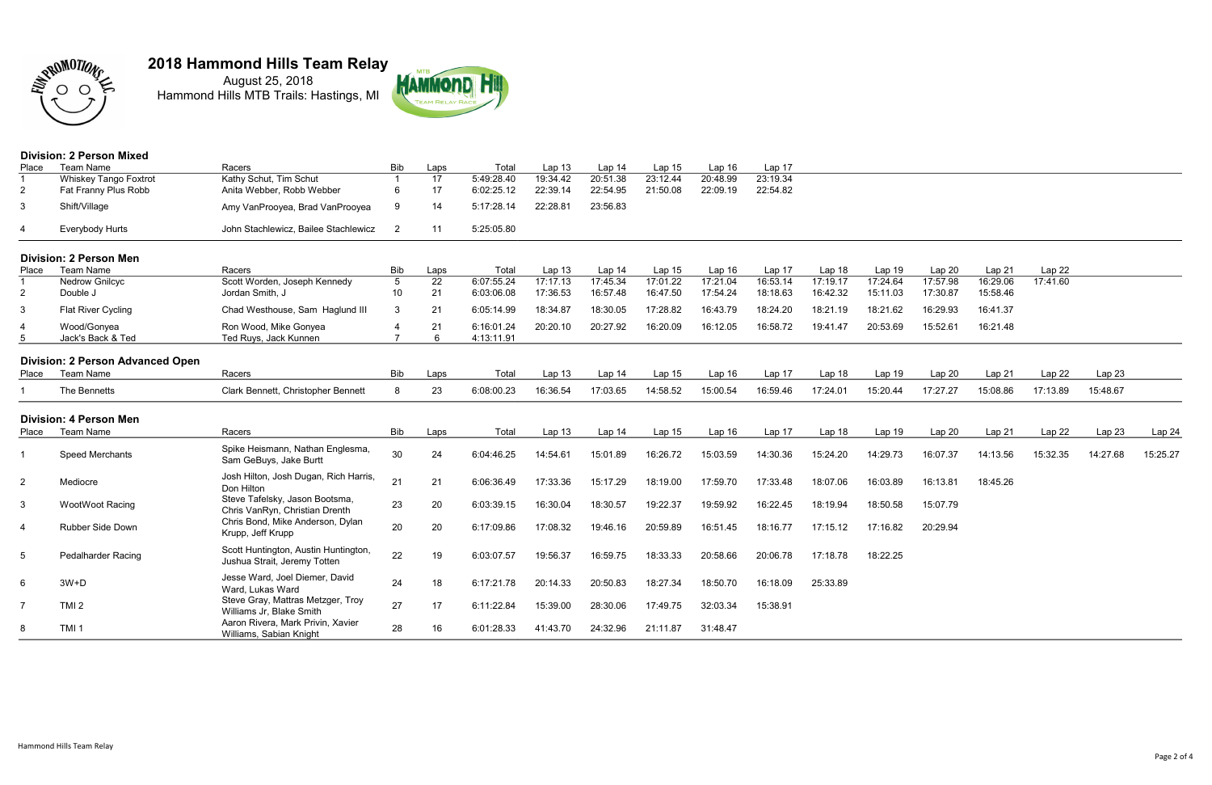

August 25, 2018 Hammond Hills MTB Trails: Hastings, MI



### Division: 2 Person Mixed

| Place          | <b>Team Name</b>                        | Racers                                                               | <b>Bib</b>                        | Laps     | Total                    | Lap 13               | Lap 14               | Lap 15               | Lap 16               | Lap 17               |                      |                      |                      |                      |          |          |          |
|----------------|-----------------------------------------|----------------------------------------------------------------------|-----------------------------------|----------|--------------------------|----------------------|----------------------|----------------------|----------------------|----------------------|----------------------|----------------------|----------------------|----------------------|----------|----------|----------|
|                | <b>Whiskey Tango Foxtrot</b>            | Kathy Schut, Tim Schut                                               |                                   | 17       | 5:49:28.40               | 19:34.42             | 20:51.38             | 23:12.44             | 20:48.99             | 23:19.34             |                      |                      |                      |                      |          |          |          |
| $\overline{2}$ | Fat Franny Plus Robb                    | Anita Webber, Robb Webber                                            | 6                                 | 17       | 6:02:25.12               | 22:39.14             | 22:54.95             | 21:50.08             | 22:09.19             | 22:54.82             |                      |                      |                      |                      |          |          |          |
| 3              | Shift/Village                           | Amy VanProoyea, Brad VanProoyea                                      | 9                                 | 14       | 5:17:28.14               | 22:28.81             | 23:56.83             |                      |                      |                      |                      |                      |                      |                      |          |          |          |
| 4              | Everybody Hurts                         | John Stachlewicz, Bailee Stachlewicz                                 | $\overline{2}$                    | 11       | 5:25:05.80               |                      |                      |                      |                      |                      |                      |                      |                      |                      |          |          |          |
|                | <b>Division: 2 Person Men</b>           |                                                                      |                                   |          |                          |                      |                      |                      |                      |                      |                      |                      |                      |                      |          |          |          |
| Place          | Team Name                               | Racers                                                               | <b>Bib</b>                        | Laps     | Total                    | Lap <sub>13</sub>    | Lap 14               | Lap 15               | Lap <sub>16</sub>    | Lap 17               | Lap 18               | Lap 19               | Lap 20               | Lap 21               | Lap 22   |          |          |
| $\overline{2}$ | <b>Nedrow Gnilcyc</b><br>Double J       | Scott Worden, Joseph Kennedy<br>Jordan Smith, J                      | $\overline{5}$<br>10 <sup>°</sup> | 22<br>21 | 6:07:55.24<br>6:03:06.08 | 17:17.13<br>17:36.53 | 17:45.34<br>16:57.48 | 17:01.22<br>16:47.50 | 17:21.04<br>17:54.24 | 16:53.14<br>18:18.63 | 17:19.17<br>16:42.32 | 17:24.64<br>15:11.03 | 17:57.98<br>17:30.87 | 16:29.06<br>15:58.46 | 17:41.60 |          |          |
| 3              | Flat River Cycling                      | Chad Westhouse, Sam Haglund III                                      | 3                                 | 21       | 6:05:14.99               | 18:34.87             | 18:30.05             | 17:28.82             | 16:43.79             | 18:24.20             | 18:21.19             | 18:21.62             | 16:29.93             | 16:41.37             |          |          |          |
| 4<br>5         | Wood/Gonyea<br>Jack's Back & Ted        | Ron Wood, Mike Gonyea<br>Ted Ruys, Jack Kunnen                       |                                   | 21<br>6  | 6:16:01.24<br>4:13:11.91 | 20:20.10             | 20:27.92             | 16:20.09             | 16:12.05             | 16:58.72             | 19:41.47             | 20:53.69             | 15:52.61             | 16:21.48             |          |          |          |
|                | <b>Division: 2 Person Advanced Open</b> |                                                                      |                                   |          |                          |                      |                      |                      |                      |                      |                      |                      |                      |                      |          |          |          |
| Place          | Team Name                               | Racers                                                               | Bib                               | Laps     | Total                    | Lap 13               | Lap 14               | Lap 15               | Lap <sub>16</sub>    | Lap 17               | Lap 18               | Lap 19               | Lap 20               | Lap 21               | Lap 22   | Lap 23   |          |
|                | The Bennetts                            | Clark Bennett, Christopher Bennett                                   | 8                                 | 23       | 6:08:00.23               | 16:36.54             | 17:03.65             | 14:58.52             | 15:00.54             | 16:59.46             | 17:24.01             | 15:20.44             | 17:27.27             | 15:08.86             | 17:13.89 | 15:48.67 |          |
|                | <b>Division: 4 Person Men</b>           |                                                                      |                                   |          |                          |                      |                      |                      |                      |                      |                      |                      |                      |                      |          |          |          |
| Place          | Team Name                               | Racers                                                               | Bib                               | Laps     | Total                    | Lap 13               | Lap 14               | Lap 15               | Lap <sub>16</sub>    | Lap 17               | Lap 18               | Lap 19               | Lap 20               | Lap 21               | Lap 22   | Lap 23   | Lap 24   |
|                | Speed Merchants                         | Spike Heismann, Nathan Englesma,<br>Sam GeBuys, Jake Burtt           | 30                                | 24       | 6:04:46.25               | 14:54.61             | 15:01.89             | 16:26.72             | 15:03.59             | 14:30.36             | 15:24.20             | 14:29.73             | 16:07.37             | 14:13.56             | 15:32.35 | 14:27.68 | 15:25.27 |
| $\overline{2}$ | Mediocre                                | Josh Hilton, Josh Dugan, Rich Harris,<br>Don Hilton                  | 21                                | 21       | 6:06:36.49               | 17:33.36             | 15:17.29             | 18:19.00             | 17:59.70             | 17:33.48             | 18:07.06             | 16:03.89             | 16:13.81             | 18:45.26             |          |          |          |
| $\mathbf{3}$   | <b>WootWoot Racing</b>                  | Steve Tafelsky, Jason Bootsma,<br>Chris VanRyn, Christian Drenth     | 23                                | 20       | 6:03:39.15               | 16:30.04             | 18:30.57             | 19:22.37             | 19:59.92             | 16:22.45             | 18:19.94             | 18:50.58             | 15:07.79             |                      |          |          |          |
| 4              | Rubber Side Down                        | Chris Bond, Mike Anderson, Dylan<br>Krupp, Jeff Krupp                | 20                                | 20       | 6:17:09.86               | 17:08.32             | 19:46.16             | 20:59.89             | 16:51.45             | 18:16.77             | 17:15.12             | 17:16.82             | 20:29.94             |                      |          |          |          |
| 5              | <b>Pedalharder Racing</b>               | Scott Huntington, Austin Huntington,<br>Jushua Strait, Jeremy Totten | 22                                | 19       | 6:03:07.57               | 19:56.37             | 16:59.75             | 18:33.33             | 20:58.66             | 20:06.78             | 17:18.78             | 18:22.25             |                      |                      |          |          |          |
| 6              | $3W+D$                                  | Jesse Ward, Joel Diemer, David<br>Ward, Lukas Ward                   | 24                                | 18       | 6:17:21.78               | 20:14.33             | 20:50.83             | 18:27.34             | 18:50.70             | 16:18.09             | 25:33.89             |                      |                      |                      |          |          |          |
| $\overline{7}$ | TMI <sub>2</sub>                        | Steve Gray, Mattras Metzger, Troy<br>Williams Jr, Blake Smith        | 27                                | 17       | 6:11:22.84               | 15:39.00             | 28:30.06             | 17:49.75             | 32:03.34             | 15:38.91             |                      |                      |                      |                      |          |          |          |
| 8              | TMI <sub>1</sub>                        | Aaron Rivera, Mark Privin, Xavier<br>Williams, Sabian Knight         | 28                                | 16       | 6:01:28.33               | 41:43.70             | 24:32.96             | 21:11.87             | 31:48.47             |                      |                      |                      |                      |                      |          |          |          |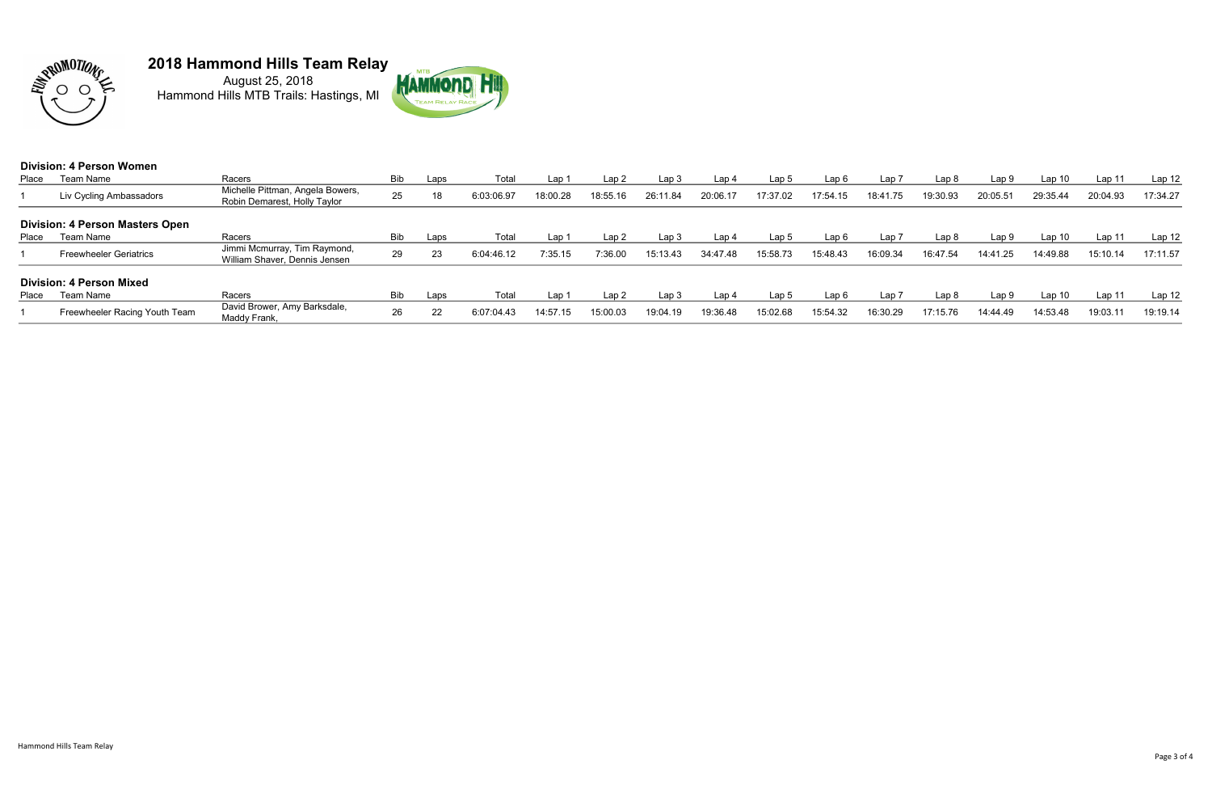

August 25, 2018 Hammond Hills MTB Trails: Hastings, MI



|       | <b>Division: 4 Person Women</b>        |                                                                  |            |      |            |          |          |          |          |                  |          |                  |                  |          |                   |          |                   |
|-------|----------------------------------------|------------------------------------------------------------------|------------|------|------------|----------|----------|----------|----------|------------------|----------|------------------|------------------|----------|-------------------|----------|-------------------|
| Place | Team Name                              | Racers                                                           | <b>Bib</b> | Laps | Total      | Lap      | Lap2     | Lap 3    | Lap 4    | Lap <sub>5</sub> | Lap6     | Lap <sub>7</sub> | Lap <sub>8</sub> | Lap 9    | Lap <sub>10</sub> | Lap 11   | Lap <sub>12</sub> |
|       | Liv Cycling Ambassadors                | Michelle Pittman, Angela Bowers,<br>Robin Demarest, Holly Taylor | 25         | 18   | 6:03:06.97 | 18:00.28 | 18:55.16 | 26:11.84 | 20:06.17 | 17:37.02         | 17:54.15 | 18:41.75         | 19:30.93         | 20:05.5  | 29:35.44          | 20:04.93 | 17:34.27          |
|       | <b>Division: 4 Person Masters Open</b> |                                                                  |            |      |            |          |          |          |          |                  |          |                  |                  |          |                   |          |                   |
| Place | Team Name                              | Racers                                                           | <b>Bib</b> | Laps | Total      | Lap 1    | Lap2     | Lap 3    | Lap 4    | Lap <sub>5</sub> | Lap6     | Lap 7            | Lap <sub>8</sub> | Lap 9    | Lap <sub>10</sub> | Lap 11   | Lap 12            |
|       | <b>Freewheeler Geriatrics</b>          | Jimmi Mcmurray, Tim Raymond,<br>William Shaver, Dennis Jensen    | 29         | 23   | 6:04:46.12 | 7:35.15  | 7:36.00  | 15:13.43 | 34:47.48 | 15:58.73         | 15:48.43 | 16:09.34         | 16:47.54         | 14:41.25 | 14:49.88          | 15:10.14 | 17:11.57          |
|       | <b>Division: 4 Person Mixed</b>        |                                                                  |            |      |            |          |          |          |          |                  |          |                  |                  |          |                   |          |                   |
| Place | Team Name                              | Racers                                                           | <b>Bib</b> | Laps | Total      | Lap 1    | Lap2     | Lap 3    | Lap 4    | Lap <sub>5</sub> | Lap 6    | Lap 7            | Lap <sub>8</sub> | Lap 9    | Lap <sub>10</sub> | Lap 11   | Lap <sub>12</sub> |
|       | Freewheeler Racing Youth Team          | David Brower, Amy Barksdale,<br>Maddy Frank,                     | 26         | 22   | 6:07:04.43 | 14:57.15 | 15:00.03 | 19:04.19 | 19:36.48 | 15:02.68         | 15:54.32 | 16:30.29         | 17:15.76         | 14:44.49 | 14:53.48          | 19:03.11 | 19:19.14          |